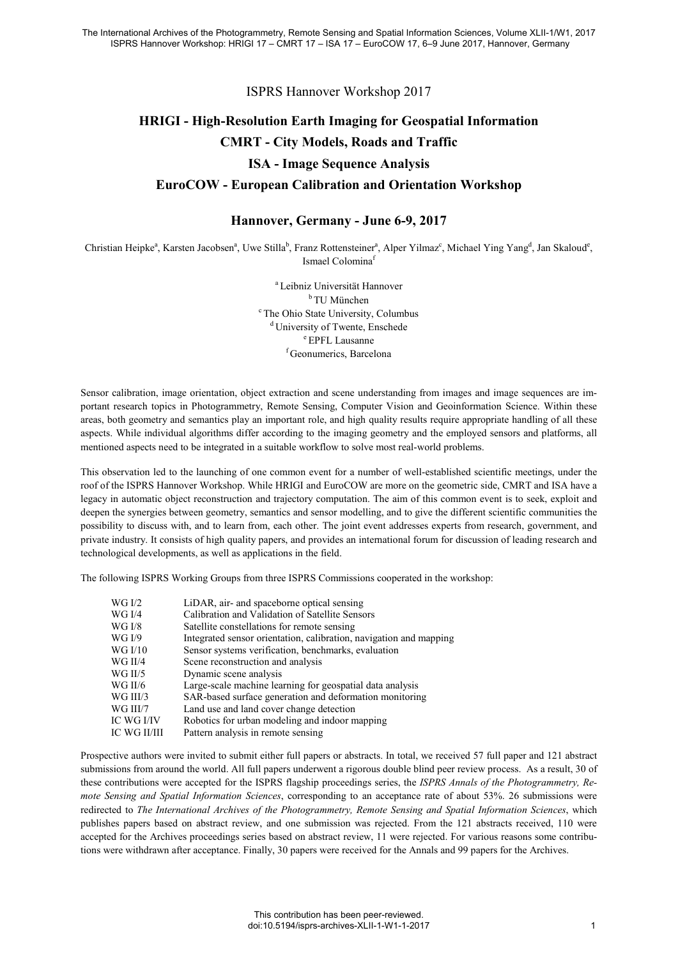ISPRS Hannover Workshop 2017

## **HRIGI - High-Resolution Earth Imaging for Geospatial Information CMRT - City Models, Roads and Traffic ISA - Image Sequence Analysis EuroCOW - European Calibration and Orientation Workshop**

## **Hannover, Germany - June 6-9, 2017**

Christian Heipke<sup>a</sup>, Karsten Jacobsen<sup>a</sup>, Uwe Stilla<sup>b</sup>, Franz Rottensteiner<sup>a</sup>, Alper Yilmaz<sup>c</sup>, Michael Ying Yang<sup>d</sup>, Jan Skaloud<sup>e</sup>, Ismael Colomina<sup>f</sup>

> a Leibniz Universität Hannover b TU München c The Ohio State University, Columbus <sup>d</sup> University of Twente, Enschede <sup>e</sup> EPFL Lausanne f Geonumerics, Barcelona

Sensor calibration, image orientation, object extraction and scene understanding from images and image sequences are important research topics in Photogrammetry, Remote Sensing, Computer Vision and Geoinformation Science. Within these areas, both geometry and semantics play an important role, and high quality results require appropriate handling of all these aspects. While individual algorithms differ according to the imaging geometry and the employed sensors and platforms, all mentioned aspects need to be integrated in a suitable workflow to solve most real-world problems.

This observation led to the launching of one common event for a number of well-established scientific meetings, under the roof of the ISPRS Hannover Workshop. While HRIGI and EuroCOW are more on the geometric side, CMRT and ISA have a legacy in automatic object reconstruction and trajectory computation. The aim of this common event is to seek, exploit and deepen the synergies between geometry, semantics and sensor modelling, and to give the different scientific communities the possibility to discuss with, and to learn from, each other. The joint event addresses experts from research, government, and private industry. It consists of high quality papers, and provides an international forum for discussion of leading research and technological developments, as well as applications in the field.

The following ISPRS Working Groups from three ISPRS Commissions cooperated in the workshop:

| WG I/2       | LiDAR, air- and spaceborne optical sensing                         |
|--------------|--------------------------------------------------------------------|
| WG I/4       | Calibration and Validation of Satellite Sensors                    |
| WG I/8       | Satellite constellations for remote sensing                        |
| WG I/9       | Integrated sensor orientation, calibration, navigation and mapping |
| WG I/10      | Sensor systems verification, benchmarks, evaluation                |
| WG II/4      | Scene reconstruction and analysis                                  |
| WG II/5      | Dynamic scene analysis                                             |
| WG II/6      | Large-scale machine learning for geospatial data analysis          |
| WG III/3     | SAR-based surface generation and deformation monitoring            |
| WG III/7     | Land use and land cover change detection                           |
| IC WG I/IV   | Robotics for urban modeling and indoor mapping                     |
| IC WG II/III | Pattern analysis in remote sensing                                 |

Prospective authors were invited to submit either full papers or abstracts. In total, we received 57 full paper and 121 abstract submissions from around the world. All full papers underwent a rigorous double blind peer review process. As a result, 30 of these contributions were accepted for the ISPRS flagship proceedings series, the *ISPRS Annals of the Photogrammetry, Remote Sensing and Spatial Information Sciences*, corresponding to an acceptance rate of about 53%. 26 submissions were redirected to *The International Archives of the Photogrammetry, Remote Sensing and Spatial Information Sciences*, which publishes papers based on abstract review, and one submission was rejected. From the 121 abstracts received, 110 were accepted for the Archives proceedings series based on abstract review, 11 were rejected. For various reasons some contributions were withdrawn after acceptance. Finally, 30 papers were received for the Annals and 99 papers for the Archives.